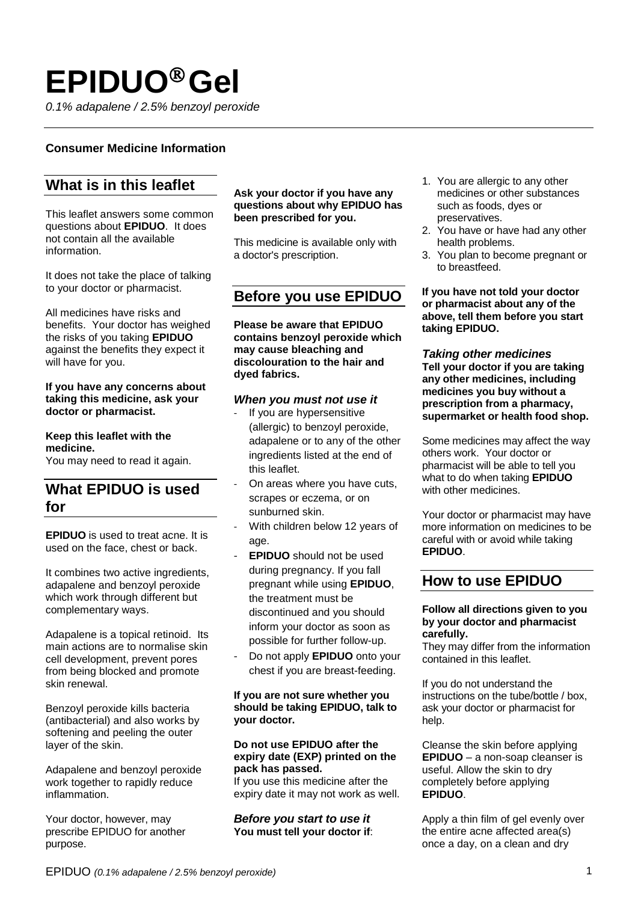# **EPIDUOGel**

*0.1% adapalene / 2.5% benzoyl peroxide*

### **Consumer Medicine Information**

# **What is in this leaflet**

This leaflet answers some common questions about **EPIDUO**. It does not contain all the available information.

It does not take the place of talking to your doctor or pharmacist.

All medicines have risks and benefits. Your doctor has weighed the risks of you taking **EPIDUO** against the benefits they expect it will have for you.

### **If you have any concerns about taking this medicine, ask your doctor or pharmacist.**

**Keep this leaflet with the medicine.** You may need to read it again.

# **What EPIDUO is used for**

**EPIDUO** is used to treat acne. It is used on the face, chest or back.

It combines two active ingredients, adapalene and benzoyl peroxide which work through different but complementary ways.

Adapalene is a topical retinoid. Its main actions are to normalise skin cell development, prevent pores from being blocked and promote skin renewal.

Benzoyl peroxide kills bacteria (antibacterial) and also works by softening and peeling the outer layer of the skin.

Adapalene and benzoyl peroxide work together to rapidly reduce inflammation.

Your doctor, however, may prescribe EPIDUO for another purpose.

### **Ask your doctor if you have any questions about why EPIDUO has been prescribed for you.**

This medicine is available only with a doctor's prescription.

### **Before you use EPIDUO**

**Please be aware that EPIDUO contains benzoyl peroxide which may cause bleaching and discolouration to the hair and dyed fabrics.**

### *When you must not use it*

- If you are hypersensitive (allergic) to benzoyl peroxide, adapalene or to any of the other ingredients listed at the end of this leaflet.
- On areas where you have cuts, scrapes or eczema, or on sunburned skin.
- With children below 12 years of age.
- **EPIDUO** should not be used during pregnancy. If you fall pregnant while using **EPIDUO**, the treatment must be discontinued and you should inform your doctor as soon as possible for further follow-up.
- Do not apply **EPIDUO** onto your chest if you are breast-feeding.

#### **If you are not sure whether you should be taking EPIDUO, talk to your doctor.**

### **Do not use EPIDUO after the expiry date (EXP) printed on the pack has passed.**

If you use this medicine after the expiry date it may not work as well.

*Before you start to use it* **You must tell your doctor if**:

- 1. You are allergic to any other medicines or other substances such as foods, dyes or preservatives.
- 2. You have or have had any other health problems.
- 3. You plan to become pregnant or to breastfeed.

**If you have not told your doctor or pharmacist about any of the above, tell them before you start taking EPIDUO.**

*Taking other medicines* **Tell your doctor if you are taking any other medicines, including medicines you buy without a prescription from a pharmacy, supermarket or health food shop.**

Some medicines may affect the way others work. Your doctor or pharmacist will be able to tell you what to do when taking **EPIDUO** with other medicines.

Your doctor or pharmacist may have more information on medicines to be careful with or avoid while taking **EPIDUO**.

## **How to use EPIDUO**

### **Follow all directions given to you by your doctor and pharmacist carefully.**

They may differ from the information contained in this leaflet.

If you do not understand the instructions on the tube/bottle / box, ask your doctor or pharmacist for help.

Cleanse the skin before applying **EPIDUO** – a non-soap cleanser is useful. Allow the skin to dry completely before applying **EPIDUO**.

Apply a thin film of gel evenly over the entire acne affected area(s) once a day, on a clean and dry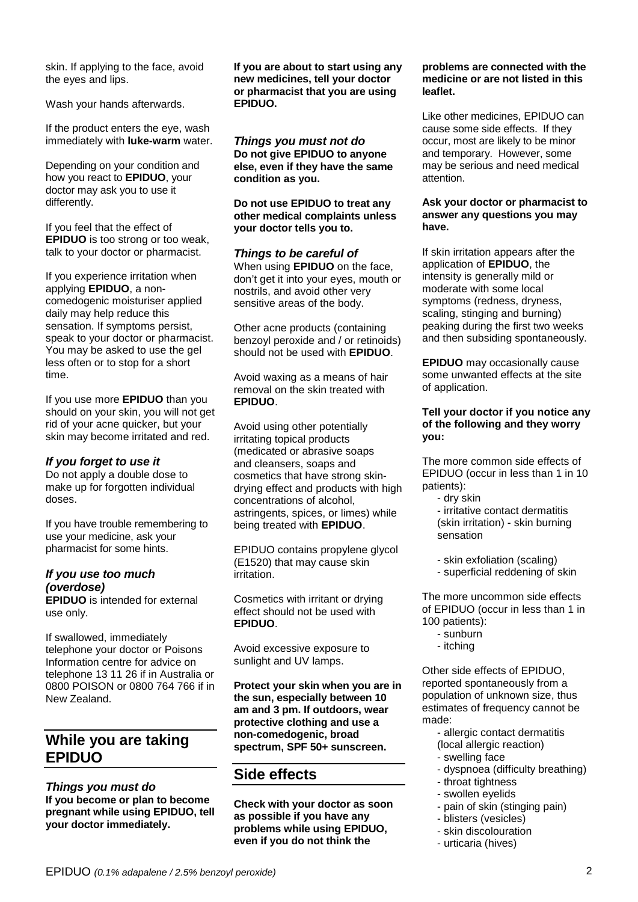skin. If applying to the face, avoid the eyes and lips.

Wash your hands afterwards.

If the product enters the eye, wash immediately with **luke-warm** water.

Depending on your condition and how you react to **EPIDUO**, your doctor may ask you to use it differently.

If you feel that the effect of **EPIDUO** is too strong or too weak, talk to your doctor or pharmacist.

If you experience irritation when applying **EPIDUO**, a noncomedogenic moisturiser applied daily may help reduce this sensation. If symptoms persist, speak to your doctor or pharmacist. You may be asked to use the gel less often or to stop for a short time.

If you use more **EPIDUO** than you should on your skin, you will not get rid of your acne quicker, but your skin may become irritated and red.

### *If you forget to use it*

Do not apply a double dose to make up for forgotten individual doses.

If you have trouble remembering to use your medicine, ask your pharmacist for some hints.

### *If you use too much (overdose)*

**EPIDUO** is intended for external use only.

If swallowed, immediately telephone your doctor or Poisons Information centre for advice on telephone 13 11 26 if in Australia or 0800 POISON or 0800 764 766 if in New Zealand.

# **While you are taking EPIDUO**

*Things you must do* **If you become or plan to become pregnant while using EPIDUO, tell your doctor immediately.**

**If you are about to start using any new medicines, tell your doctor or pharmacist that you are using EPIDUO.**

*Things you must not do* **Do not give EPIDUO to anyone else, even if they have the same condition as you.**

**Do not use EPIDUO to treat any other medical complaints unless your doctor tells you to.**

*Things to be careful of* When using **EPIDUO** on the face, don't get it into your eyes, mouth or nostrils, and avoid other very sensitive areas of the body.

Other acne products (containing benzoyl peroxide and / or retinoids) should not be used with **EPIDUO**.

Avoid waxing as a means of hair removal on the skin treated with **EPIDUO**.

Avoid using other potentially irritating topical products (medicated or abrasive soaps and cleansers, soaps and cosmetics that have strong skindrying effect and products with high concentrations of alcohol, astringents, spices, or limes) while being treated with **EPIDUO**.

EPIDUO contains propylene glycol (E1520) that may cause skin irritation.

Cosmetics with irritant or drying effect should not be used with **EPIDUO**.

Avoid excessive exposure to sunlight and UV lamps.

**Protect your skin when you are in the sun, especially between 10 am and 3 pm. If outdoors, wear protective clothing and use a non-comedogenic, broad spectrum, SPF 50+ sunscreen.** 

# **Side effects**

**Check with your doctor as soon as possible if you have any problems while using EPIDUO, even if you do not think the** 

### **problems are connected with the medicine or are not listed in this leaflet.**

Like other medicines, EPIDUO can cause some side effects. If they occur, most are likely to be minor and temporary. However, some may be serious and need medical attention.

### **Ask your doctor or pharmacist to answer any questions you may have.**

If skin irritation appears after the application of **EPIDUO**, the intensity is generally mild or moderate with some local symptoms (redness, dryness, scaling, stinging and burning) peaking during the first two weeks and then subsiding spontaneously.

**EPIDUO** may occasionally cause some unwanted effects at the site of application.

### **Tell your doctor if you notice any of the following and they worry you:**

The more common side effects of EPIDUO (occur in less than 1 in 10 patients):

- dry skin

- irritative contact dermatitis (skin irritation) - skin burning sensation

- skin exfoliation (scaling)
- superficial reddening of skin

The more uncommon side effects of EPIDUO (occur in less than 1 in 100 patients):

- sunburn
- itching

Other side effects of EPIDUO, reported spontaneously from a population of unknown size, thus estimates of frequency cannot be made:

- allergic contact dermatitis
- (local allergic reaction)
- swelling face
- dyspnoea (difficulty breathing)
- throat tightness
- swollen eyelids
- pain of skin (stinging pain)
- blisters (vesicles)
- skin discolouration
- urticaria (hives)